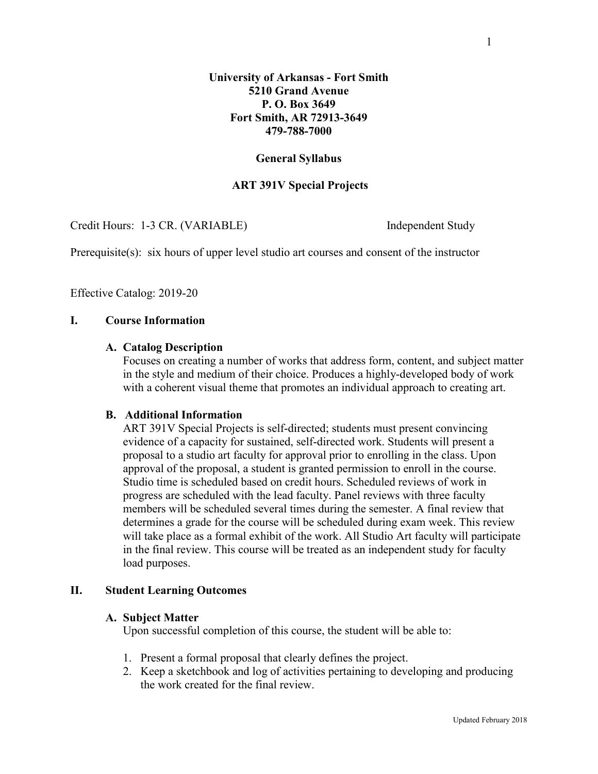#### **General Syllabus**

#### **ART 391V Special Projects**

Credit Hours: 1-3 CR. (VARIABLE) Independent Study

Prerequisite(s): six hours of upper level studio art courses and consent of the instructor

Effective Catalog: 2019-20

#### **I. Course Information**

#### **A. Catalog Description**

Focuses on creating a number of works that address form, content, and subject matter in the style and medium of their choice. Produces a highly-developed body of work with a coherent visual theme that promotes an individual approach to creating art.

#### **B. Additional Information**

ART 391V Special Projects is self-directed; students must present convincing evidence of a capacity for sustained, self-directed work. Students will present a proposal to a studio art faculty for approval prior to enrolling in the class. Upon approval of the proposal, a student is granted permission to enroll in the course. Studio time is scheduled based on credit hours. Scheduled reviews of work in progress are scheduled with the lead faculty. Panel reviews with three faculty members will be scheduled several times during the semester. A final review that determines a grade for the course will be scheduled during exam week. This review will take place as a formal exhibit of the work. All Studio Art faculty will participate in the final review. This course will be treated as an independent study for faculty load purposes.

#### **II. Student Learning Outcomes**

#### **A. Subject Matter**

Upon successful completion of this course, the student will be able to:

- 1. Present a formal proposal that clearly defines the project.
- 2. Keep a sketchbook and log of activities pertaining to developing and producing the work created for the final review.